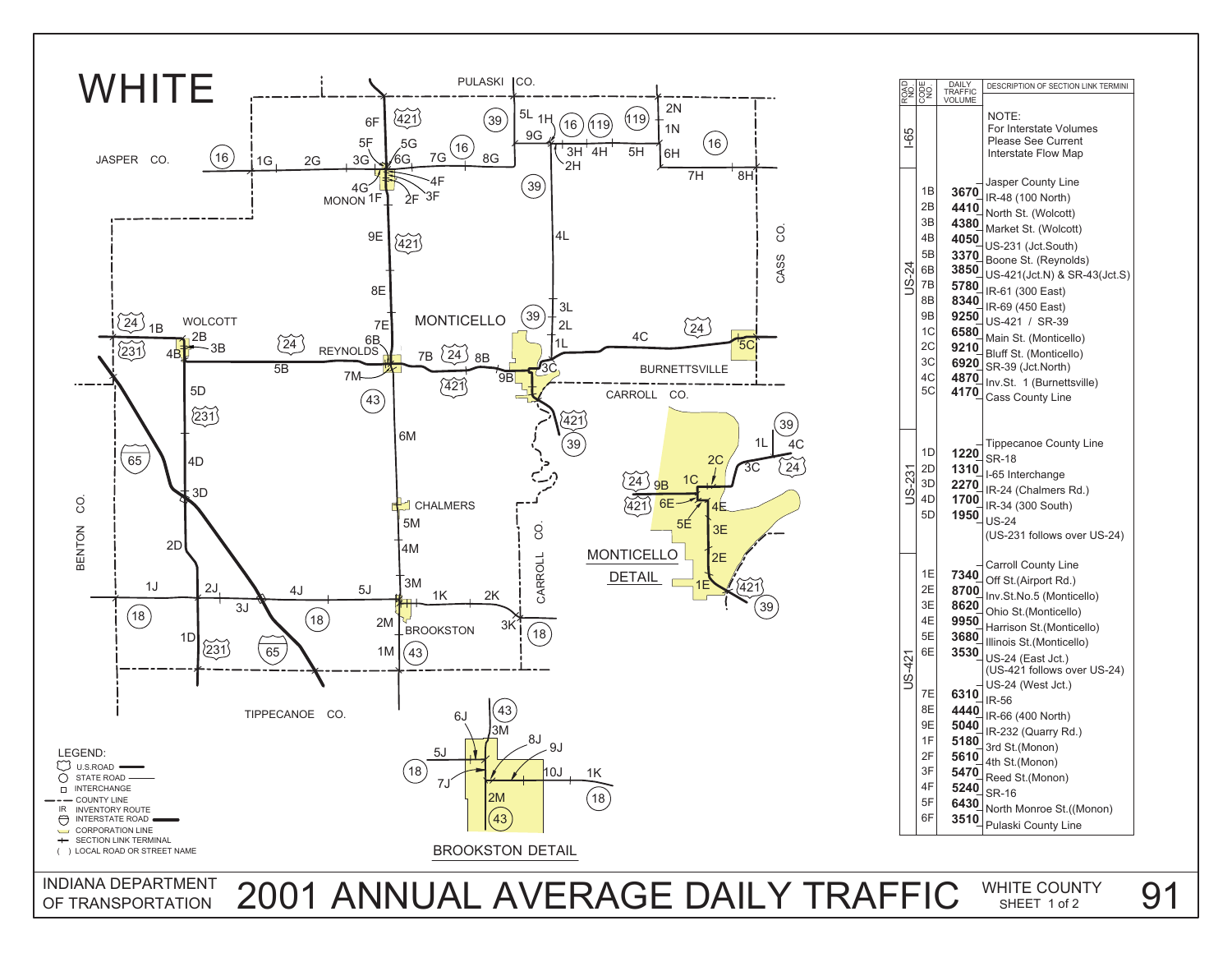

Off St.(Airport Rd.) Carroll County Line Ohio St.(Monticello) Harrison St.(Monticello) Illinois St.(Monticello) US-24 (East Jct.) **3530** (US-421 follows over US-24) IR-61 (300 East) IR-69 (450 East) US-421 / SR-39 Main St. (Monticello) Bluff St. (Monticello) IR-232 (Quarry Rd.) IR-66 (400 North) 3rd St.(Monon) 4th St.(Monon) Reed St.(Monon) SR-16 North Monroe St.((Monon) Pulaski County Line Inv.St. 1 (Burnettsville) SR-39 (Jct.North) **6920** Tippecanoe County Line SR-18 I-65 Interchange IR-24 (Chalmers Rd.) IR-34 (300 South) 1950\_|<sub>US-24</sub> (US-231 follows over US-24) US-24 (West Jct.) IR-56 Cass County Line **4170**